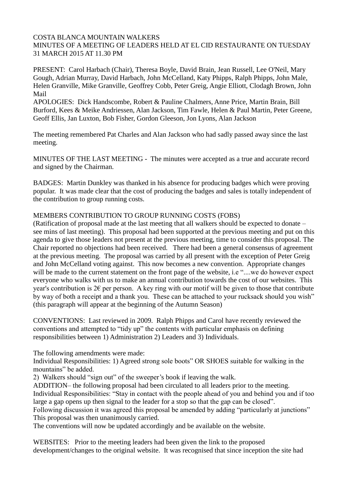### COSTA BLANCA MOUNTAIN WALKERS MINUTES OF A MEETING OF LEADERS HELD AT EL CID RESTAURANTE ON TUESDAY 31 MARCH 2015 AT 11.30 PM

PRESENT: Carol Harbach (Chair), Theresa Boyle, David Brain, Jean Russell, Lee O'Neil, Mary Gough, Adrian Murray, David Harbach, John McCelland, Katy Phipps, Ralph Phipps, John Male, Helen Granville, Mike Granville, Geoffrey Cobb, Peter Greig, Angie Elliott, Clodagh Brown, John Mail

APOLOGIES: Dick Handscombe, Robert & Pauline Chalmers, Anne Price, Martin Brain, Bill Burford, Kees & Meike Andriessen, Alan Jackson, Tim Fawle, Helen & Paul Martin, Peter Greene, Geoff Ellis, Jan Luxton, Bob Fisher, Gordon Gleeson, Jon Lyons, Alan Jackson

The meeting remembered Pat Charles and Alan Jackson who had sadly passed away since the last meeting.

MINUTES OF THE LAST MEETING - The minutes were accepted as a true and accurate record and signed by the Chairman.

BADGES: Martin Dunkley was thanked in his absence for producing badges which were proving popular. It was made clear that the cost of producing the badges and sales is totally independent of the contribution to group running costs.

## MEMBERS CONTRIBUTION TO GROUP RUNNING COSTS (FOBS)

(Ratification of proposal made at the last meeting that all walkers should be expected to donate – see mins of last meeting). This proposal had been supported at the previous meeting and put on this agenda to give those leaders not present at the previous meeting, time to consider this proposal. The Chair reported no objections had been received. There had been a general consensus of agreement at the previous meeting. The proposal was carried by all present with the exception of Peter Greig and John McCelland voting against. This now becomes a new convention. Appropriate changes will be made to the current statement on the front page of the website, i.e "....we do however expect everyone who walks with us to make an annual contribution towards the cost of our websites. This year's contribution is  $2 \epsilon$  per person. A key ring with our motif will be given to those that contribute by way of both a receipt and a thank you. These can be attached to your rucksack should you wish" (this paragraph will appear at the beginning of the Autumn Season)

CONVENTIONS: Last reviewed in 2009. Ralph Phipps and Carol have recently reviewed the conventions and attempted to "tidy up" the contents with particular emphasis on defining responsibilities between 1) Administration 2) Leaders and 3) Individuals.

The following amendments were made:

Individual Responsibilities: 1) Agreed strong sole boots" OR SHOES suitable for walking in the mountains" be added.

2) Walkers should "sign out" of the sweeper's book if leaving the walk.

ADDITION– the following proposal had been circulated to all leaders prior to the meeting.

Individual Responsibilities: "Stay in contact with the people ahead of you and behind you and if too large a gap opens up then signal to the leader for a stop so that the gap can be closed".

Following discussion it was agreed this proposal be amended by adding "particularly at junctions" This proposal was then unanimously carried.

The conventions will now be updated accordingly and be available on the website.

WEBSITES: Prior to the meeting leaders had been given the link to the proposed development/changes to the original website. It was recognised that since inception the site had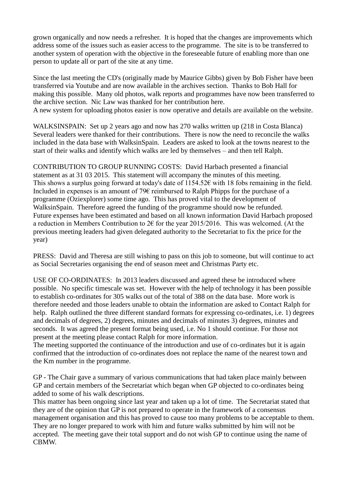grown organically and now needs a refresher. It is hoped that the changes are improvements which address some of the issues such as easier access to the programme. The site is to be transferred to another system of operation with the objective in the foreseeable future of enabling more than one person to update all or part of the site at any time.

Since the last meeting the CD's (originally made by Maurice Gibbs) given by Bob Fisher have been transferred via Youtube and are now available in the archives section. Thanks to Bob Hall for making this possible. Many old photos, walk reports and programmes have now been transferred to the archive section. Nic Law was thanked for her contribution here. A new system for uploading photos easier is now operative and details are available on the website.

WALKSINSPAIN: Set up 2 years ago and now has 270 walks written up (218 in Costa Blanca) Several leaders were thanked for their contributions. There is now the need to reconcile the walks included in the data base with WalksinSpain. Leaders are asked to look at the towns nearest to the start of their walks and identify which walks are led by themselves – and then tell Ralph.

CONTRIBUTION TO GROUP RUNNING COSTS: David Harbach presented a financial statement as at 31 03 2015. This statement will accompany the minutes of this meeting. This shows a surplus going forward at today's date of  $1154.52\epsilon$  with 18 fobs remaining in the field. Included in expenses is an amount of 79€ reimbursed to Ralph Phipps for the purchase of a programme (Oziexplorer) some time ago. This has proved vital to the development of WalksinSpain. Therefore agreed the funding of the programme should now be refunded. Future expenses have been estimated and based on all known information David Harbach proposed a reduction in Members Contribution to  $2 \epsilon$  for the year 2015/2016. This was welcomed. (At the previous meeting leaders had given delegated authority to the Secretariat to fix the price for the year)

PRESS: David and Theresa are still wishing to pass on this job to someone, but will continue to act as Social Secretaries organising the end of season meet and Christmas Party etc.

USE OF CO-ORDINATES: In 2013 leaders discussed and agreed these be introduced where possible. No specific timescale was set. However with the help of technology it has been possible to establish co-ordinates for 305 walks out of the total of 388 on the data base. More work is therefore needed and those leaders unable to obtain the information are asked to Contact Ralph for help. Ralph outlined the three different standard formats for expressing co-ordinates, i.e. 1) degrees and decimals of degrees, 2) degrees, minutes and decimals of minutes 3) degrees, minutes and seconds. It was agreed the present format being used, i.e. No 1 should continue. For those not present at the meeting please contact Ralph for more information.

The meeting supported the continuance of the introduction and use of co-ordinates but it is again confirmed that the introduction of co-ordinates does not replace the name of the nearest town and the Km number in the programme.

GP - The Chair gave a summary of various communications that had taken place mainly between GP and certain members of the Secretariat which began when GP objected to co-ordinates being added to some of his walk descriptions.

This matter has been ongoing since last year and taken up a lot of time. The Secretariat stated that they are of the opinion that GP is not prepared to operate in the framework of a consensus management organisation and this has proved to cause too many problems to be acceptable to them. They are no longer prepared to work with him and future walks submitted by him will not be accepted. The meeting gave their total support and do not wish GP to continue using the name of **CBMW**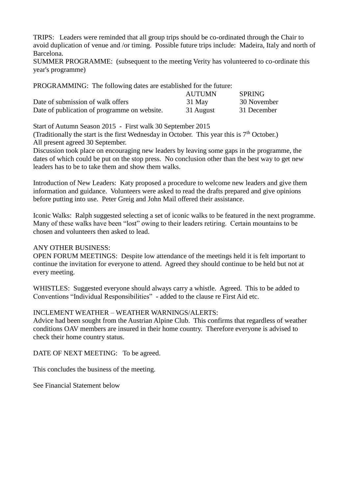TRIPS: Leaders were reminded that all group trips should be co-ordinated through the Chair to avoid duplication of venue and /or timing. Possible future trips include: Madeira, Italy and north of Barcelona.

SUMMER PROGRAMME: (subsequent to the meeting Verity has volunteered to co-ordinate this year's programme)

PROGRAMMING: The following dates are established for the future:

|                                              | AUTUMN    | <b>SPRING</b> |
|----------------------------------------------|-----------|---------------|
| Date of submission of walk offers            | 31 May    | 30 November   |
| Date of publication of programme on website. | 31 August | 31 December   |

Start of Autumn Season 2015 - First walk 30 September 2015

(Traditionally the start is the first Wednesday in October. This year this is  $7<sup>th</sup>$  October.) All present agreed 30 September.

Discussion took place on encouraging new leaders by leaving some gaps in the programme, the dates of which could be put on the stop press. No conclusion other than the best way to get new leaders has to be to take them and show them walks.

Introduction of New Leaders: Katy proposed a procedure to welcome new leaders and give them information and guidance. Volunteers were asked to read the drafts prepared and give opinions before putting into use. Peter Greig and John Mail offered their assistance.

Iconic Walks: Ralph suggested selecting a set of iconic walks to be featured in the next programme. Many of these walks have been "lost" owing to their leaders retiring. Certain mountains to be chosen and volunteers then asked to lead.

#### ANY OTHER BUSINESS:

OPEN FORUM MEETINGS: Despite low attendance of the meetings held it is felt important to continue the invitation for everyone to attend. Agreed they should continue to be held but not at every meeting.

WHISTLES: Suggested everyone should always carry a whistle. Agreed. This to be added to Conventions "Individual Responsibilities" - added to the clause re First Aid etc.

#### INCLEMENT WEATHER – WEATHER WARNINGS/ALERTS:

Advice had been sought from the Austrian Alpine Club. This confirms that regardless of weather conditions OAV members are insured in their home country. Therefore everyone is advised to check their home country status.

DATE OF NEXT MEETING: To be agreed.

This concludes the business of the meeting.

See Financial Statement below